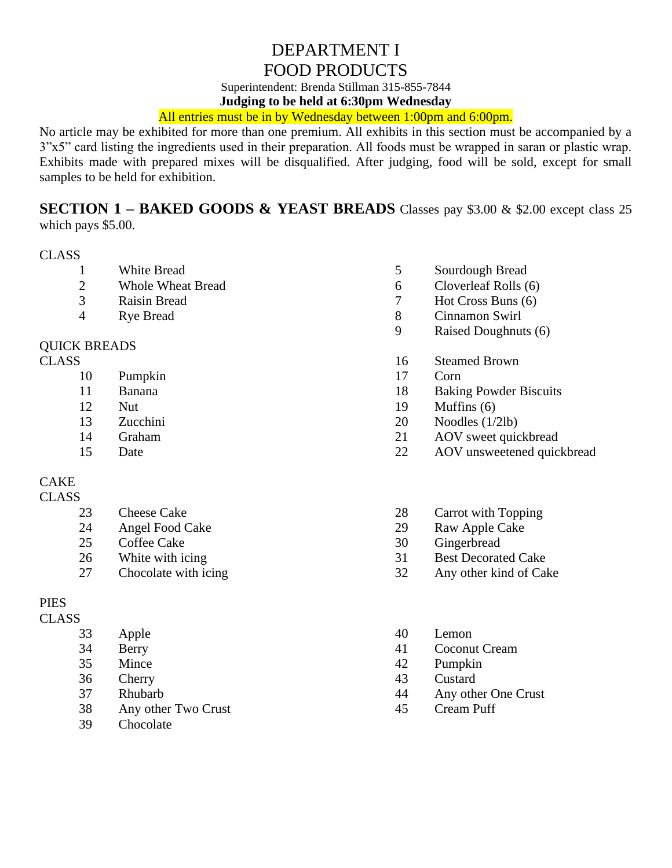# DEPARTMENT I FOOD PRODUCTS

Superintendent: Brenda Stillman 315-855-7844

**Judging to be held at 6:30pm Wednesday**

## All entries must be in by Wednesday between 1:00pm and 6:00pm.

No article may be exhibited for more than one premium. All exhibits in this section must be accompanied by a 3"x5" card listing the ingredients used in their preparation. All foods must be wrapped in saran or plastic wrap. Exhibits made with prepared mixes will be disqualified. After judging, food will be sold, except for small samples to be held for exhibition.

**SECTION 1 – BAKED GOODS & YEAST BREADS** Classes pay \$3.00 & \$2.00 except class 25 which pays \$5.00.

#### CLASS

- White Bread
- Whole Wheat Bread
- Raisin Bread
- Rye Bread

#### QUICK BREADS

### CLASS

- Pumpkin
- Banana
- Nut
- Zucchini
- Graham
- Date

# CAKE

## **CLASS**

- Cheese Cake
- Angel Food Cake
- Coffee Cake
- White with icing
- Chocolate with icing

## PIES

#### CLASS

- Apple
- Berry
- Mince
- Cherry
- Rhubarb
- Any other Two Crust
- Chocolate
- Sourdough Bread
- Cloverleaf Rolls (6)
- Hot Cross Buns (6)
- Cinnamon Swirl
- Raised Doughnuts (6)
- Steamed Brown
- Corn
- Baking Powder Biscuits
- Muffins (6)
- Noodles (1/2lb)
- AOV sweet quickbread
- 22 AOV unsweetened quickbread
- Carrot with Topping
- Raw Apple Cake
- Gingerbread
- Best Decorated Cake
- Any other kind of Cake
- Lemon
- Coconut Cream
- Pumpkin
- Custard
- Any other One Crust
- Cream Puff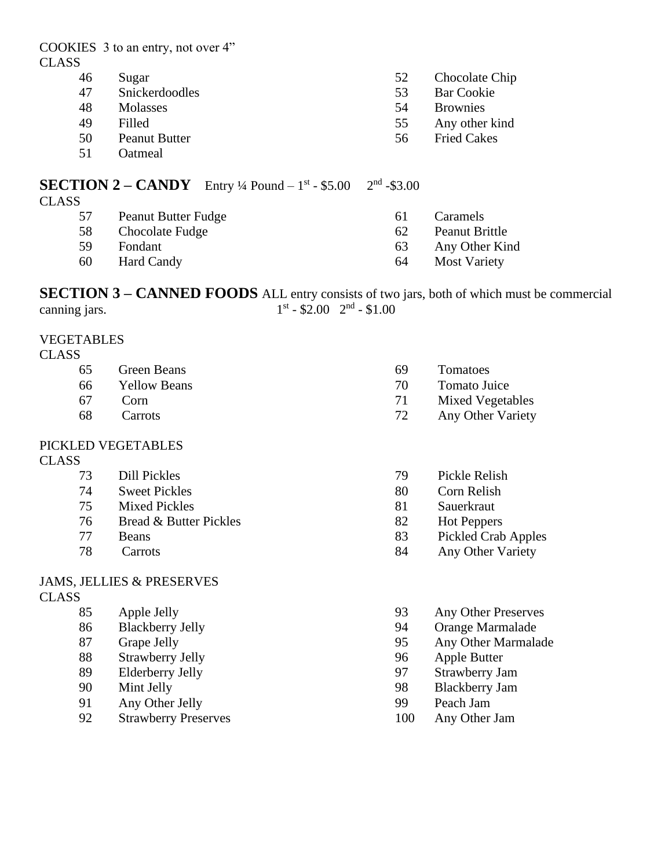| 46           | Sugar                                                        | 52            | Chocolate Chip     |
|--------------|--------------------------------------------------------------|---------------|--------------------|
| 47           | Snickerdoodles                                               | 53            | <b>Bar Cookie</b>  |
| 48           | <b>Molasses</b>                                              | 54            | <b>Brownies</b>    |
| 49           | Filled                                                       | 55            | Any other kind     |
| 50           | <b>Peanut Butter</b>                                         | 56            | <b>Fried Cakes</b> |
| 51           | Oatmeal                                                      |               |                    |
|              | <b>SECTION 2 – CANDY</b> Entry 1/4 Pound – $1^{st}$ - \$5.00 | $2nd - $3.00$ |                    |
| <b>CLASS</b> |                                                              |               |                    |
| 57           | <b>Peanut Butter Fudge</b>                                   | 61            | Caramels           |

- 
- 58 Chocolate Fudge

COOKIES 3 to an entry, not over 4"

- 59 Fondant
- 60 Hard Candy
- 61 Caramels
- 62 Peanut Brittle
- 63 Any Other Kind
- 64 Most Variety

**SECTION 3 – CANNED FOODS** ALL entry consists of two jars, both of which must be commercial canning jars.  $\mathrm{^{st}}$  - \$2.00  $2^{\mathrm{nd}}$  - \$1.00

#### VEGETABLES

CLASS

CLASS

- 65 Green Beans
- 66 Yellow Beans
- 67 Corn
- 68 Carrots

## PICKLED VEGETABLES

#### CLASS

- 73 Dill Pickles
- 74 Sweet Pickles
- 75 Mixed Pickles
- 76 Bread & Butter Pickles
- 77 Beans
- 78 Carrots

#### JAMS, JELLIES & PRESERVES **CLASS**

- - 85 Apple Jelly
	- 86 Blackberry Jelly
	- 87 Grape Jelly
	- 88 Strawberry Jelly
	- 89 Elderberry Jelly
	- 90 Mint Jelly
	- 91 Any Other Jelly
	- 92 Strawberry Preserves
- 69 Tomatoes
- 70 Tomato Juice
- 71 Mixed Vegetables
- 72 Any Other Variety
- 79 Pickle Relish
- 80 Corn Relish
- 81 Sauerkraut
- 82 Hot Peppers
- 83 Pickled Crab Apples
- 84 Any Other Variety
- 93 Any Other Preserves
- 94 Orange Marmalade
- 95 Any Other Marmalade
- 96 Apple Butter
- 97 Strawberry Jam
- 98 Blackberry Jam
- 99 Peach Jam
- 100 Any Other Jam